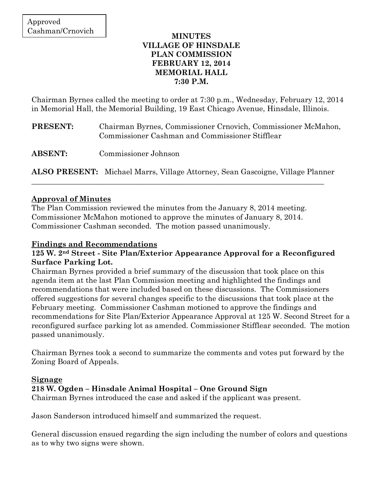### **MINUTES VILLAGE OF HINSDALE PLAN COMMISSION FEBRUARY 12, 2014 MEMORIAL HALL 7:30 P.M.**

Chairman Byrnes called the meeting to order at 7:30 p.m., Wednesday, February 12, 2014 in Memorial Hall, the Memorial Building, 19 East Chicago Avenue, Hinsdale, Illinois.

- **PRESENT:** Chairman Byrnes, Commissioner Crnovich, Commissioner McMahon, Commissioner Cashman and Commissioner Stifflear
- **ABSENT:** Commissioner Johnson

**ALSO PRESENT:** Michael Marrs, Village Attorney, Sean Gascoigne, Village Planner

\_\_\_\_\_\_\_\_\_\_\_\_\_\_\_\_\_\_\_\_\_\_\_\_\_\_\_\_\_\_\_\_\_\_\_\_\_\_\_\_\_\_\_\_\_\_\_\_\_\_\_\_\_\_\_\_\_\_\_\_\_\_\_\_\_\_\_\_\_\_\_\_\_\_\_\_\_\_

### **Approval of Minutes**

The Plan Commission reviewed the minutes from the January 8, 2014 meeting. Commissioner McMahon motioned to approve the minutes of January 8, 2014. Commissioner Cashman seconded. The motion passed unanimously.

### **Findings and Recommendations**

## **125 W. 2nd Street - Site Plan/Exterior Appearance Approval for a Reconfigured Surface Parking Lot.**

Chairman Byrnes provided a brief summary of the discussion that took place on this agenda item at the last Plan Commission meeting and highlighted the findings and recommendations that were included based on these discussions. The Commissioners offered suggestions for several changes specific to the discussions that took place at the February meeting. Commissioner Cashman motioned to approve the findings and recommendations for Site Plan/Exterior Appearance Approval at 125 W. Second Street for a reconfigured surface parking lot as amended. Commissioner Stifflear seconded. The motion passed unanimously.

Chairman Byrnes took a second to summarize the comments and votes put forward by the Zoning Board of Appeals.

#### **Signage**

## **218 W. Ogden – Hinsdale Animal Hospital – One Ground Sign**

Chairman Byrnes introduced the case and asked if the applicant was present.

Jason Sanderson introduced himself and summarized the request.

General discussion ensued regarding the sign including the number of colors and questions as to why two signs were shown.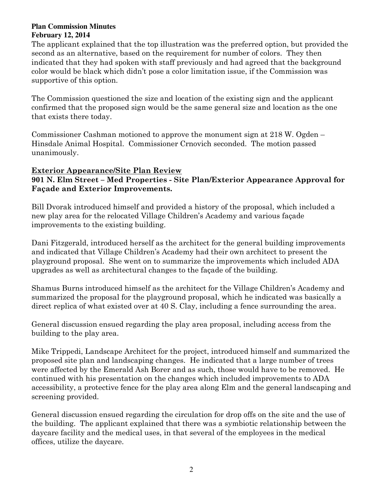The applicant explained that the top illustration was the preferred option, but provided the second as an alternative, based on the requirement for number of colors. They then indicated that they had spoken with staff previously and had agreed that the background color would be black which didn't pose a color limitation issue, if the Commission was supportive of this option.

The Commission questioned the size and location of the existing sign and the applicant confirmed that the proposed sign would be the same general size and location as the one that exists there today.

Commissioner Cashman motioned to approve the monument sign at 218 W. Ogden – Hinsdale Animal Hospital. Commissioner Crnovich seconded. The motion passed unanimously.

## **Exterior Appearance/Site Plan Review**

**901 N. Elm Street – Med Properties - Site Plan/Exterior Appearance Approval for Façade and Exterior Improvements.** 

Bill Dvorak introduced himself and provided a history of the proposal, which included a new play area for the relocated Village Children's Academy and various façade improvements to the existing building.

Dani Fitzgerald, introduced herself as the architect for the general building improvements and indicated that Village Children's Academy had their own architect to present the playground proposal. She went on to summarize the improvements which included ADA upgrades as well as architectural changes to the façade of the building.

Shamus Burns introduced himself as the architect for the Village Children's Academy and summarized the proposal for the playground proposal, which he indicated was basically a direct replica of what existed over at 40 S. Clay, including a fence surrounding the area.

General discussion ensued regarding the play area proposal, including access from the building to the play area.

Mike Trippedi, Landscape Architect for the project, introduced himself and summarized the proposed site plan and landscaping changes. He indicated that a large number of trees were affected by the Emerald Ash Borer and as such, those would have to be removed. He continued with his presentation on the changes which included improvements to ADA accessibility, a protective fence for the play area along Elm and the general landscaping and screening provided.

General discussion ensued regarding the circulation for drop offs on the site and the use of the building. The applicant explained that there was a symbiotic relationship between the daycare facility and the medical uses, in that several of the employees in the medical offices, utilize the daycare.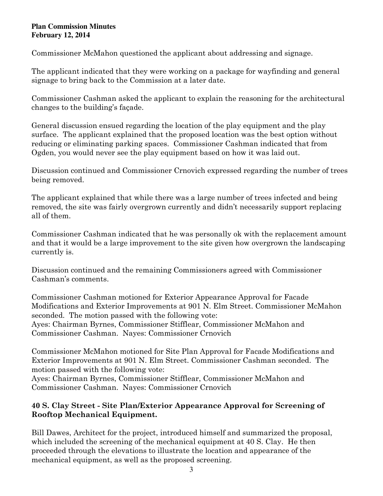Commissioner McMahon questioned the applicant about addressing and signage.

The applicant indicated that they were working on a package for wayfinding and general signage to bring back to the Commission at a later date.

Commissioner Cashman asked the applicant to explain the reasoning for the architectural changes to the building's façade.

General discussion ensued regarding the location of the play equipment and the play surface. The applicant explained that the proposed location was the best option without reducing or eliminating parking spaces. Commissioner Cashman indicated that from Ogden, you would never see the play equipment based on how it was laid out.

Discussion continued and Commissioner Crnovich expressed regarding the number of trees being removed.

The applicant explained that while there was a large number of trees infected and being removed, the site was fairly overgrown currently and didn't necessarily support replacing all of them.

Commissioner Cashman indicated that he was personally ok with the replacement amount and that it would be a large improvement to the site given how overgrown the landscaping currently is.

Discussion continued and the remaining Commissioners agreed with Commissioner Cashman's comments.

Commissioner Cashman motioned for Exterior Appearance Approval for Facade Modifications and Exterior Improvements at 901 N. Elm Street. Commissioner McMahon seconded. The motion passed with the following vote: Ayes: Chairman Byrnes, Commissioner Stifflear, Commissioner McMahon and Commissioner Cashman. Nayes: Commissioner Crnovich

Commissioner McMahon motioned for Site Plan Approval for Facade Modifications and Exterior Improvements at 901 N. Elm Street. Commissioner Cashman seconded. The motion passed with the following vote:

Ayes: Chairman Byrnes, Commissioner Stifflear, Commissioner McMahon and Commissioner Cashman. Nayes: Commissioner Crnovich

# **40 S. Clay Street - Site Plan/Exterior Appearance Approval for Screening of Rooftop Mechanical Equipment.**

Bill Dawes, Architect for the project, introduced himself and summarized the proposal, which included the screening of the mechanical equipment at 40 S. Clay. He then proceeded through the elevations to illustrate the location and appearance of the mechanical equipment, as well as the proposed screening.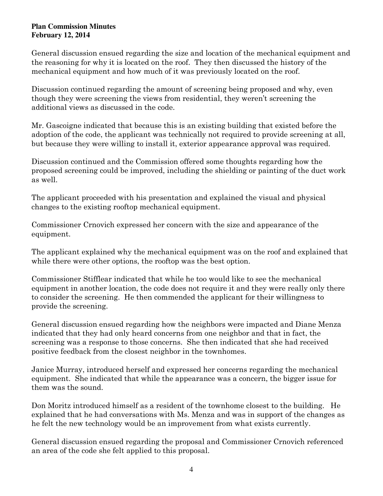General discussion ensued regarding the size and location of the mechanical equipment and the reasoning for why it is located on the roof. They then discussed the history of the mechanical equipment and how much of it was previously located on the roof.

Discussion continued regarding the amount of screening being proposed and why, even though they were screening the views from residential, they weren't screening the additional views as discussed in the code.

Mr. Gascoigne indicated that because this is an existing building that existed before the adoption of the code, the applicant was technically not required to provide screening at all, but because they were willing to install it, exterior appearance approval was required.

Discussion continued and the Commission offered some thoughts regarding how the proposed screening could be improved, including the shielding or painting of the duct work as well.

The applicant proceeded with his presentation and explained the visual and physical changes to the existing rooftop mechanical equipment.

Commissioner Crnovich expressed her concern with the size and appearance of the equipment.

The applicant explained why the mechanical equipment was on the roof and explained that while there were other options, the rooftop was the best option.

Commissioner Stifflear indicated that while he too would like to see the mechanical equipment in another location, the code does not require it and they were really only there to consider the screening. He then commended the applicant for their willingness to provide the screening.

General discussion ensued regarding how the neighbors were impacted and Diane Menza indicated that they had only heard concerns from one neighbor and that in fact, the screening was a response to those concerns. She then indicated that she had received positive feedback from the closest neighbor in the townhomes.

Janice Murray, introduced herself and expressed her concerns regarding the mechanical equipment. She indicated that while the appearance was a concern, the bigger issue for them was the sound.

Don Moritz introduced himself as a resident of the townhome closest to the building. He explained that he had conversations with Ms. Menza and was in support of the changes as he felt the new technology would be an improvement from what exists currently.

General discussion ensued regarding the proposal and Commissioner Crnovich referenced an area of the code she felt applied to this proposal.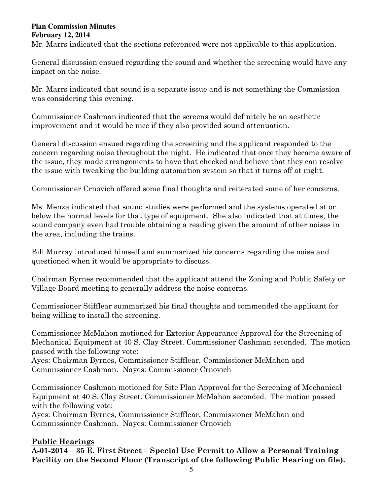Mr. Marrs indicated that the sections referenced were not applicable to this application.

General discussion ensued regarding the sound and whether the screening would have any impact on the noise.

Mr. Marrs indicated that sound is a separate issue and is not something the Commission was considering this evening.

Commissioner Cashman indicated that the screens would definitely be an aesthetic improvement and it would be nice if they also provided sound attenuation.

General discussion ensued regarding the screening and the applicant responded to the concern regarding noise throughout the night. He indicated that once they became aware of the issue, they made arrangements to have that checked and believe that they can resolve the issue with tweaking the building automation system so that it turns off at night.

Commissioner Crnovich offered some final thoughts and reiterated some of her concerns.

Ms. Menza indicated that sound studies were performed and the systems operated at or below the normal levels for that type of equipment. She also indicated that at times, the sound company even had trouble obtaining a reading given the amount of other noises in the area, including the trains.

Bill Murray introduced himself and summarized his concerns regarding the noise and questioned when it would be appropriate to discuss.

Chairman Byrnes recommended that the applicant attend the Zoning and Public Safety or Village Board meeting to generally address the noise concerns.

Commissioner Stifflear summarized his final thoughts and commended the applicant for being willing to install the screening.

Commissioner McMahon motioned for Exterior Appearance Approval for the Screening of Mechanical Equipment at 40 S. Clay Street. Commissioner Cashman seconded. The motion passed with the following vote:

Ayes: Chairman Byrnes, Commissioner Stifflear, Commissioner McMahon and Commissioner Cashman. Nayes: Commissioner Crnovich

Commissioner Cashman motioned for Site Plan Approval for the Screening of Mechanical Equipment at 40 S. Clay Street. Commissioner McMahon seconded. The motion passed with the following vote:

Ayes: Chairman Byrnes, Commissioner Stifflear, Commissioner McMahon and Commissioner Cashman. Nayes: Commissioner Crnovich

# **Public Hearings**

**A-01-2014 – 35 E. First Street – Special Use Permit to Allow a Personal Training Facility on the Second Floor (Transcript of the following Public Hearing on file).**